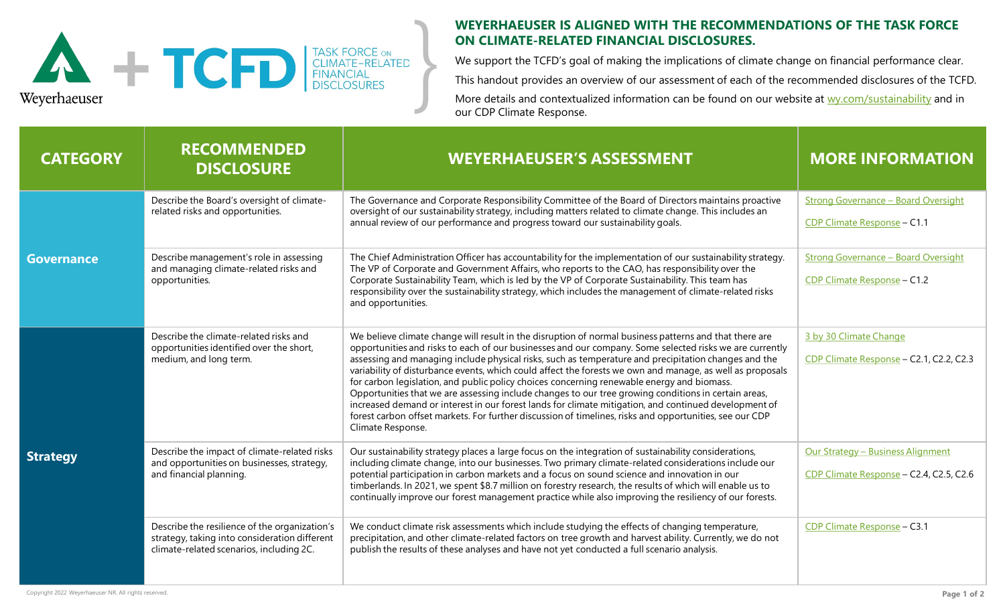

## **WEYERHAEUSER IS ALIGNED WITH THE RECOMMENDATIONS OF THE TASK FORCE ON CLIMATE-RELATED FINANCIAL DISCLOSURES.**

We support the TCFD's goal of making the implications of climate change on financial performance clear. This handout provides an overview of our assessment of each of the recommended disclosures of the TCFD.

More details and contextualized information can be found on our website at [wy.com/sustainability](https://www.weyerhaeuser.com/sustainability) and in our CDP Climate Response.

| <b>CATEGORY</b>   | <b>RECOMMENDED</b><br><b>DISCLOSURE</b>                                                                                                    | <b>WEYERHAEUSER'S ASSESSMENT</b>                                                                                                                                                                                                                                                                                                                                                                                                                                                                                                                                                                                                                                                                                                                                                                                                                                                      | <b>MORE INFORMATION</b>                                                      |
|-------------------|--------------------------------------------------------------------------------------------------------------------------------------------|---------------------------------------------------------------------------------------------------------------------------------------------------------------------------------------------------------------------------------------------------------------------------------------------------------------------------------------------------------------------------------------------------------------------------------------------------------------------------------------------------------------------------------------------------------------------------------------------------------------------------------------------------------------------------------------------------------------------------------------------------------------------------------------------------------------------------------------------------------------------------------------|------------------------------------------------------------------------------|
| <b>Governance</b> | Describe the Board's oversight of climate-<br>related risks and opportunities.                                                             | The Governance and Corporate Responsibility Committee of the Board of Directors maintains proactive<br>oversight of our sustainability strategy, including matters related to climate change. This includes an<br>annual review of our performance and progress toward our sustainability goals.                                                                                                                                                                                                                                                                                                                                                                                                                                                                                                                                                                                      | <b>Strong Governance - Board Oversight</b><br>CDP Climate Response - C1.1    |
|                   | Describe management's role in assessing<br>and managing climate-related risks and<br>opportunities.                                        | The Chief Administration Officer has accountability for the implementation of our sustainability strategy.<br>The VP of Corporate and Government Affairs, who reports to the CAO, has responsibility over the<br>Corporate Sustainability Team, which is led by the VP of Corporate Sustainability. This team has<br>responsibility over the sustainability strategy, which includes the management of climate-related risks<br>and opportunities.                                                                                                                                                                                                                                                                                                                                                                                                                                    | <b>Strong Governance - Board Oversight</b><br>CDP Climate Response - C1.2    |
| <b>Strategy</b>   | Describe the climate-related risks and<br>opportunities identified over the short,<br>medium, and long term.                               | We believe climate change will result in the disruption of normal business patterns and that there are<br>opportunities and risks to each of our businesses and our company. Some selected risks we are currently<br>assessing and managing include physical risks, such as temperature and precipitation changes and the<br>variability of disturbance events, which could affect the forests we own and manage, as well as proposals<br>for carbon legislation, and public policy choices concerning renewable energy and biomass.<br>Opportunities that we are assessing include changes to our tree growing conditions in certain areas,<br>increased demand or interest in our forest lands for climate mitigation, and continued development of<br>forest carbon offset markets. For further discussion of timelines, risks and opportunities, see our CDP<br>Climate Response. | 3 by 30 Climate Change<br>CDP Climate Response - C2.1, C2.2, C2.3            |
|                   | Describe the impact of climate-related risks<br>and opportunities on businesses, strategy,<br>and financial planning.                      | Our sustainability strategy places a large focus on the integration of sustainability considerations,<br>including climate change, into our businesses. Two primary climate-related considerations include our<br>potential participation in carbon markets and a focus on sound science and innovation in our<br>timberlands. In 2021, we spent \$8.7 million on forestry research, the results of which will enable us to<br>continually improve our forest management practice while also improving the resiliency of our forests.                                                                                                                                                                                                                                                                                                                                                 | Our Strategy - Business Alignment<br>CDP Climate Response - C2.4, C2.5, C2.6 |
|                   | Describe the resilience of the organization's<br>strategy, taking into consideration different<br>climate-related scenarios, including 2C. | We conduct climate risk assessments which include studying the effects of changing temperature,<br>precipitation, and other climate-related factors on tree growth and harvest ability. Currently, we do not<br>publish the results of these analyses and have not yet conducted a full scenario analysis.                                                                                                                                                                                                                                                                                                                                                                                                                                                                                                                                                                            | CDP Climate Response - C3.1                                                  |